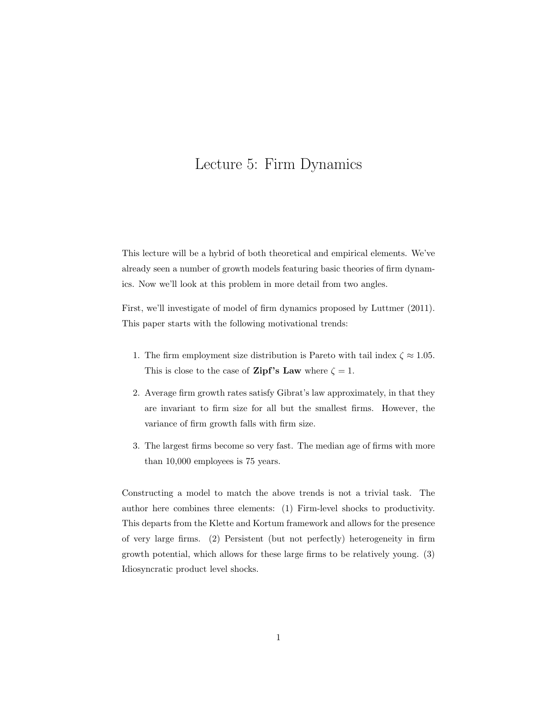# Lecture 5: Firm Dynamics

This lecture will be a hybrid of both theoretical and empirical elements. We've already seen a number of growth models featuring basic theories of firm dynamics. Now we'll look at this problem in more detail from two angles.

First, we'll investigate of model of firm dynamics proposed by Luttmer (2011). This paper starts with the following motivational trends:

- 1. The firm employment size distribution is Pareto with tail index  $\zeta \approx 1.05$ . This is close to the case of **Zipf's Law** where  $\zeta = 1$ .
- 2. Average firm growth rates satisfy Gibrat's law approximately, in that they are invariant to firm size for all but the smallest firms. However, the variance of firm growth falls with firm size.
- 3. The largest firms become so very fast. The median age of firms with more than 10,000 employees is 75 years.

Constructing a model to match the above trends is not a trivial task. The author here combines three elements: (1) Firm-level shocks to productivity. This departs from the Klette and Kortum framework and allows for the presence of very large firms. (2) Persistent (but not perfectly) heterogeneity in firm growth potential, which allows for these large firms to be relatively young. (3) Idiosyncratic product level shocks.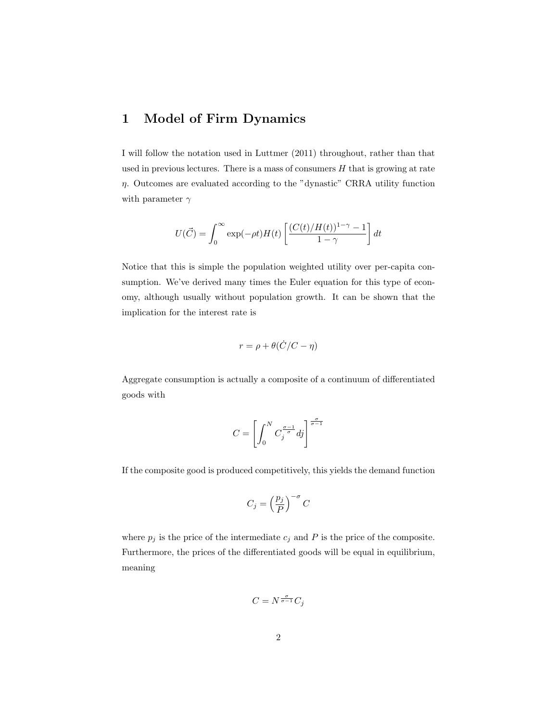# 1 Model of Firm Dynamics

I will follow the notation used in Luttmer (2011) throughout, rather than that used in previous lectures. There is a mass of consumers  $H$  that is growing at rate  $\eta$ . Outcomes are evaluated according to the "dynastic" CRRA utility function with parameter  $\gamma$ 

$$
U(\vec{C}) = \int_0^\infty \exp(-\rho t)H(t) \left[ \frac{(C(t)/H(t))^{1-\gamma} - 1}{1 - \gamma} \right] dt
$$

Notice that this is simple the population weighted utility over per-capita consumption. We've derived many times the Euler equation for this type of economy, although usually without population growth. It can be shown that the implication for the interest rate is

$$
r = \rho + \theta(\dot{C}/C - \eta)
$$

Aggregate consumption is actually a composite of a continuum of differentiated goods with

$$
C = \left[ \int_0^N C_j^{\frac{\sigma - 1}{\sigma}} dj \right]^{\frac{\sigma}{\sigma - 1}}
$$

If the composite good is produced competitively, this yields the demand function

$$
C_j = \left(\frac{p_j}{P}\right)^{-\sigma} C
$$

where  $p_j$  is the price of the intermediate  $c_j$  and P is the price of the composite. Furthermore, the prices of the differentiated goods will be equal in equilibrium, meaning

$$
C = N^{\frac{\sigma}{\sigma - 1}} C_j
$$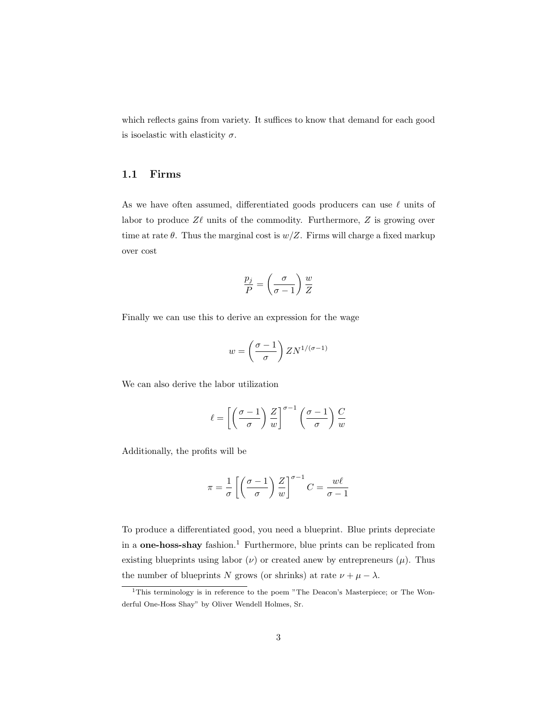which reflects gains from variety. It suffices to know that demand for each good is isoelastic with elasticity  $\sigma$ .

#### 1.1 Firms

As we have often assumed, differentiated goods producers can use  $\ell$  units of labor to produce  $Z\ell$  units of the commodity. Furthermore,  $Z$  is growing over time at rate  $\theta$ . Thus the marginal cost is  $w/Z$ . Firms will charge a fixed markup over cost

$$
\frac{p_j}{P} = \left(\frac{\sigma}{\sigma - 1}\right) \frac{w}{Z}
$$

Finally we can use this to derive an expression for the wage

$$
w = \left(\frac{\sigma - 1}{\sigma}\right) Z N^{1/(\sigma - 1)}
$$

We can also derive the labor utilization

$$
\ell = \left[ \left( \frac{\sigma - 1}{\sigma} \right) \frac{Z}{w} \right]^{\sigma - 1} \left( \frac{\sigma - 1}{\sigma} \right) \frac{C}{w}
$$

Additionally, the profits will be

$$
\pi = \frac{1}{\sigma} \left[ \left( \frac{\sigma - 1}{\sigma} \right) \frac{Z}{w} \right]^{\sigma - 1} C = \frac{w\ell}{\sigma - 1}
$$

To produce a differentiated good, you need a blueprint. Blue prints depreciate in a **one-hoss-shay** fashion.<sup>1</sup> Furthermore, blue prints can be replicated from existing blueprints using labor  $(\nu)$  or created anew by entrepreneurs  $(\mu)$ . Thus the number of blueprints N grows (or shrinks) at rate  $\nu + \mu - \lambda$ .

<sup>&</sup>lt;sup>1</sup>This terminology is in reference to the poem "The Deacon's Masterpiece; or The Wonderful One-Hoss Shay" by Oliver Wendell Holmes, Sr.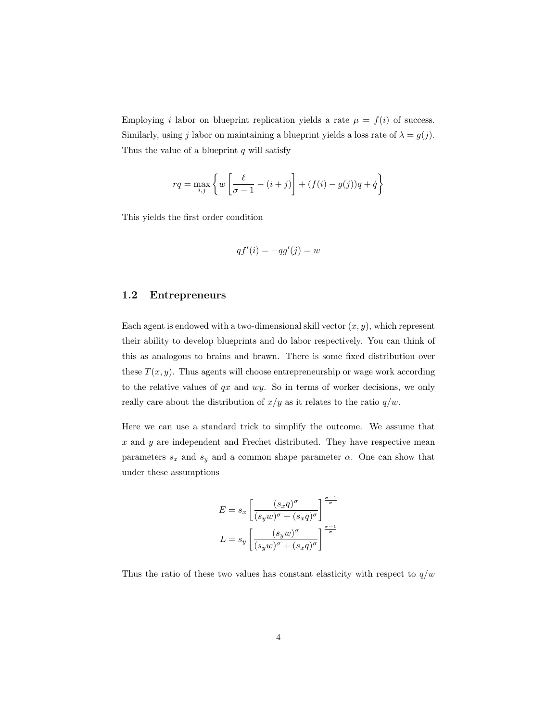Employing i labor on blueprint replication yields a rate  $\mu = f(i)$  of success. Similarly, using j labor on maintaining a blueprint yields a loss rate of  $\lambda = g(j)$ . Thus the value of a blueprint  $q$  will satisfy

$$
rq = \max_{i,j} \left\{ w \left[ \frac{\ell}{\sigma - 1} - (i + j) \right] + (f(i) - g(j))q + \dot{q} \right\}
$$

This yields the first order condition

$$
qf'(i) = -qg'(j) = w
$$

### 1.2 Entrepreneurs

Each agent is endowed with a two-dimensional skill vector  $(x, y)$ , which represent their ability to develop blueprints and do labor respectively. You can think of this as analogous to brains and brawn. There is some fixed distribution over these  $T(x, y)$ . Thus agents will choose entrepreneurship or wage work according to the relative values of  $qx$  and  $wy$ . So in terms of worker decisions, we only really care about the distribution of  $x/y$  as it relates to the ratio  $q/w$ .

Here we can use a standard trick to simplify the outcome. We assume that  $x$  and  $y$  are independent and Frechet distributed. They have respective mean parameters  $s_x$  and  $s_y$  and a common shape parameter  $\alpha$ . One can show that under these assumptions

$$
E = s_x \left[ \frac{(s_x q)^{\sigma}}{(s_y w)^{\sigma} + (s_x q)^{\sigma}} \right]^{\frac{\sigma - 1}{\sigma}}
$$

$$
L = s_y \left[ \frac{(s_y w)^{\sigma}}{(s_y w)^{\sigma} + (s_x q)^{\sigma}} \right]^{\frac{\sigma - 1}{\sigma}}
$$

Thus the ratio of these two values has constant elasticity with respect to  $q/w$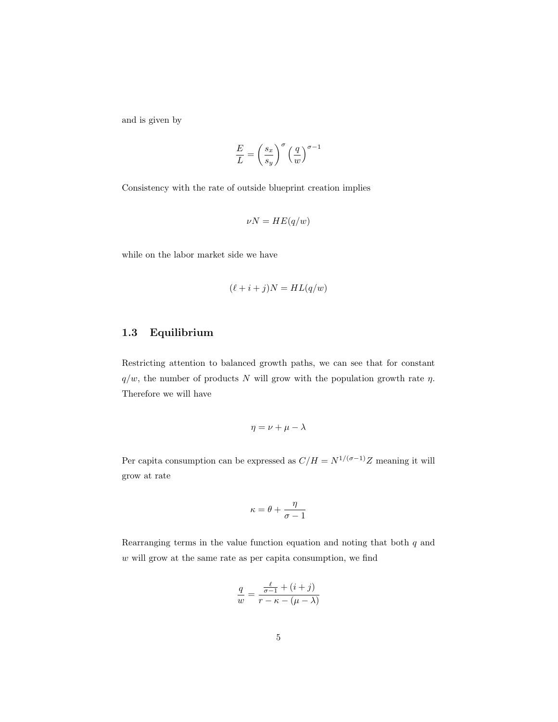and is given by

$$
\frac{E}{L} = \left(\frac{s_x}{s_y}\right)^{\sigma} \left(\frac{q}{w}\right)^{\sigma - 1}
$$

Consistency with the rate of outside blueprint creation implies

$$
\nu N = HE(q/w)
$$

while on the labor market side we have

$$
(\ell + i + j)N = HL(q/w)
$$

### 1.3 Equilibrium

Restricting attention to balanced growth paths, we can see that for constant  $q/w$ , the number of products N will grow with the population growth rate  $\eta$ . Therefore we will have

$$
\eta = \nu + \mu - \lambda
$$

Per capita consumption can be expressed as  $C/H = N^{1/(\sigma-1)}Z$  meaning it will grow at rate

$$
\kappa = \theta + \frac{\eta}{\sigma - 1}
$$

Rearranging terms in the value function equation and noting that both  $q$  and  $w$  will grow at the same rate as per capita consumption, we find

$$
\frac{q}{w} = \frac{\frac{\ell}{\sigma - 1} + (i + j)}{r - \kappa - (\mu - \lambda)}
$$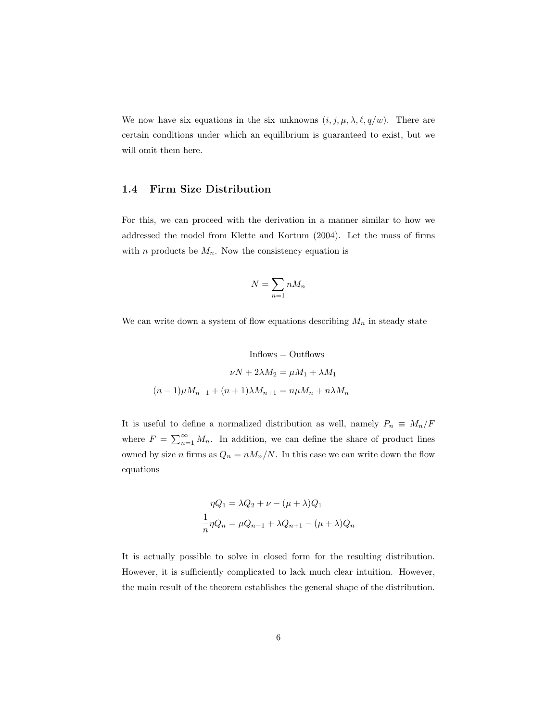We now have six equations in the six unknowns  $(i, j, \mu, \lambda, \ell, q/w)$ . There are certain conditions under which an equilibrium is guaranteed to exist, but we will omit them here.

#### 1.4 Firm Size Distribution

For this, we can proceed with the derivation in a manner similar to how we addressed the model from Klette and Kortum (2004). Let the mass of firms with *n* products be  $M_n$ . Now the consistency equation is

$$
N = \sum_{n=1} n M_n
$$

We can write down a system of flow equations describing  $M_n$  in steady state

$$
Inflows = Outflows
$$
  

$$
\nu N + 2\lambda M_2 = \mu M_1 + \lambda M_1
$$
  

$$
(n-1)\mu M_{n-1} + (n+1)\lambda M_{n+1} = n\mu M_n + n\lambda M_n
$$

It is useful to define a normalized distribution as well, namely  $P_n\,\equiv\,M_n/F$ where  $F = \sum_{n=1}^{\infty} M_n$ . In addition, we can define the share of product lines owned by size n firms as  $Q_n = n M_n / N$ . In this case we can write down the flow equations

$$
\eta Q_1 = \lambda Q_2 + \nu - (\mu + \lambda) Q_1
$$
  

$$
\frac{1}{n} \eta Q_n = \mu Q_{n-1} + \lambda Q_{n+1} - (\mu + \lambda) Q_n
$$

It is actually possible to solve in closed form for the resulting distribution. However, it is sufficiently complicated to lack much clear intuition. However, the main result of the theorem establishes the general shape of the distribution.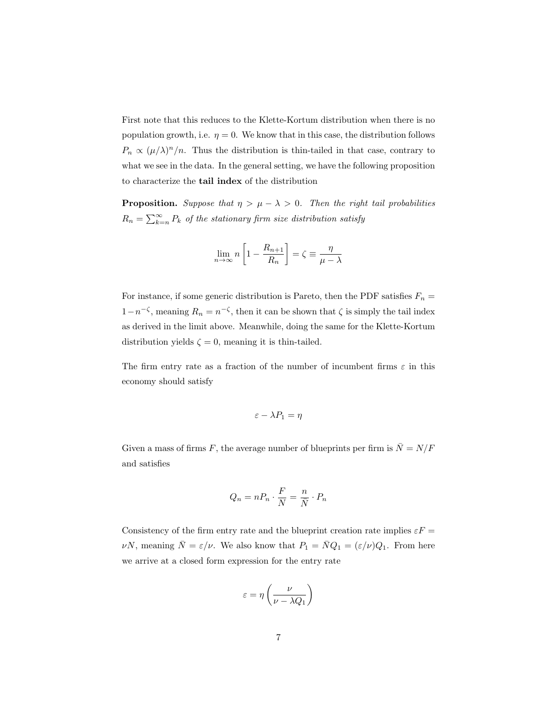First note that this reduces to the Klette-Kortum distribution when there is no population growth, i.e.  $\eta = 0$ . We know that in this case, the distribution follows  $P_n \propto (\mu/\lambda)^n/n$ . Thus the distribution is thin-tailed in that case, contrary to what we see in the data. In the general setting, we have the following proposition to characterize the tail index of the distribution

**Proposition.** Suppose that  $\eta > \mu - \lambda > 0$ . Then the right tail probabilities  $R_n = \sum_{k=n}^{\infty} P_k$  of the stationary firm size distribution satisfy

$$
\lim_{n \to \infty} n \left[ 1 - \frac{R_{n+1}}{R_n} \right] = \zeta \equiv \frac{\eta}{\mu - \lambda}
$$

For instance, if some generic distribution is Pareto, then the PDF satisfies  $F_n =$ 1−n<sup>- $\zeta$ </sup>, meaning  $R_n = n^{-\zeta}$ , then it can be shown that  $\zeta$  is simply the tail index as derived in the limit above. Meanwhile, doing the same for the Klette-Kortum distribution yields  $\zeta = 0$ , meaning it is thin-tailed.

The firm entry rate as a fraction of the number of incumbent firms  $\varepsilon$  in this economy should satisfy

$$
\varepsilon - \lambda P_1 = \eta
$$

Given a mass of firms F, the average number of blueprints per firm is  $\overline{N} = N/F$ and satisfies

$$
Q_n = nP_n \cdot \frac{F}{N} = \frac{n}{\bar{N}} \cdot P_n
$$

Consistency of the firm entry rate and the blueprint creation rate implies  $\varepsilon F =$  $\nu N$ , meaning  $\overline{N} = \varepsilon/\nu$ . We also know that  $P_1 = \overline{N}Q_1 = (\varepsilon/\nu)Q_1$ . From here we arrive at a closed form expression for the entry rate

$$
\varepsilon = \eta \left( \frac{\nu}{\nu - \lambda Q_1} \right)
$$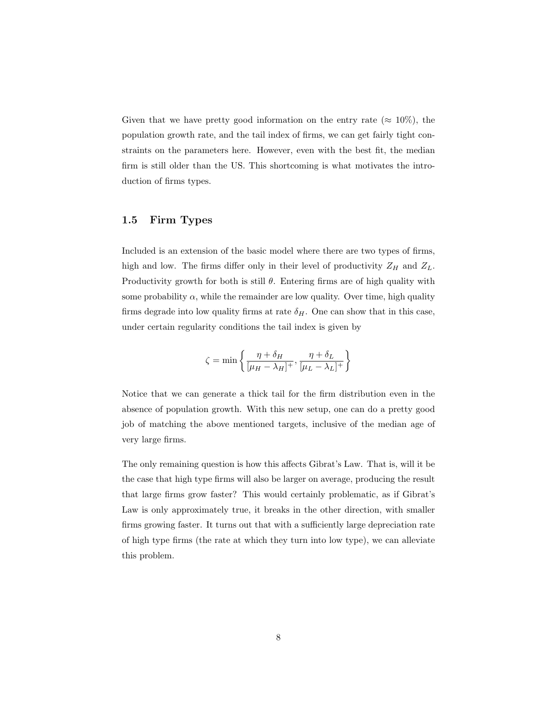Given that we have pretty good information on the entry rate ( $\approx 10\%$ ), the population growth rate, and the tail index of firms, we can get fairly tight constraints on the parameters here. However, even with the best fit, the median firm is still older than the US. This shortcoming is what motivates the introduction of firms types.

### 1.5 Firm Types

Included is an extension of the basic model where there are two types of firms, high and low. The firms differ only in their level of productivity  $Z_H$  and  $Z_L$ . Productivity growth for both is still  $\theta$ . Entering firms are of high quality with some probability  $\alpha$ , while the remainder are low quality. Over time, high quality firms degrade into low quality firms at rate  $\delta_H$ . One can show that in this case, under certain regularity conditions the tail index is given by

$$
\zeta = \min \left\{ \frac{\eta + \delta_H}{[\mu_H - \lambda_H]^+}, \frac{\eta + \delta_L}{[\mu_L - \lambda_L]^+} \right\}
$$

Notice that we can generate a thick tail for the firm distribution even in the absence of population growth. With this new setup, one can do a pretty good job of matching the above mentioned targets, inclusive of the median age of very large firms.

The only remaining question is how this affects Gibrat's Law. That is, will it be the case that high type firms will also be larger on average, producing the result that large firms grow faster? This would certainly problematic, as if Gibrat's Law is only approximately true, it breaks in the other direction, with smaller firms growing faster. It turns out that with a sufficiently large depreciation rate of high type firms (the rate at which they turn into low type), we can alleviate this problem.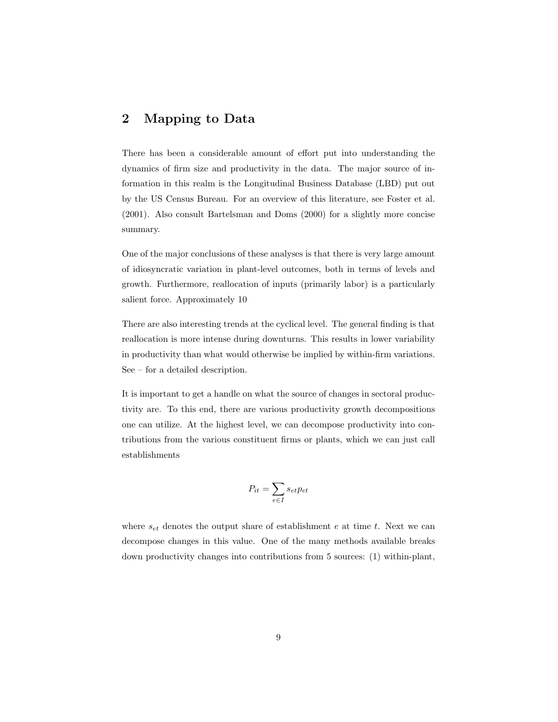## 2 Mapping to Data

There has been a considerable amount of effort put into understanding the dynamics of firm size and productivity in the data. The major source of information in this realm is the Longitudinal Business Database (LBD) put out by the US Census Bureau. For an overview of this literature, see Foster et al. (2001). Also consult Bartelsman and Doms (2000) for a slightly more concise summary.

One of the major conclusions of these analyses is that there is very large amount of idiosyncratic variation in plant-level outcomes, both in terms of levels and growth. Furthermore, reallocation of inputs (primarily labor) is a particularly salient force. Approximately 10

There are also interesting trends at the cyclical level. The general finding is that reallocation is more intense during downturns. This results in lower variability in productivity than what would otherwise be implied by within-firm variations. See – for a detailed description.

It is important to get a handle on what the source of changes in sectoral productivity are. To this end, there are various productivity growth decompositions one can utilize. At the highest level, we can decompose productivity into contributions from the various constituent firms or plants, which we can just call establishments

$$
P_{it} = \sum_{e \in I} s_{et} p_{et}
$$

where  $s_{et}$  denotes the output share of establishment e at time t. Next we can decompose changes in this value. One of the many methods available breaks down productivity changes into contributions from 5 sources: (1) within-plant,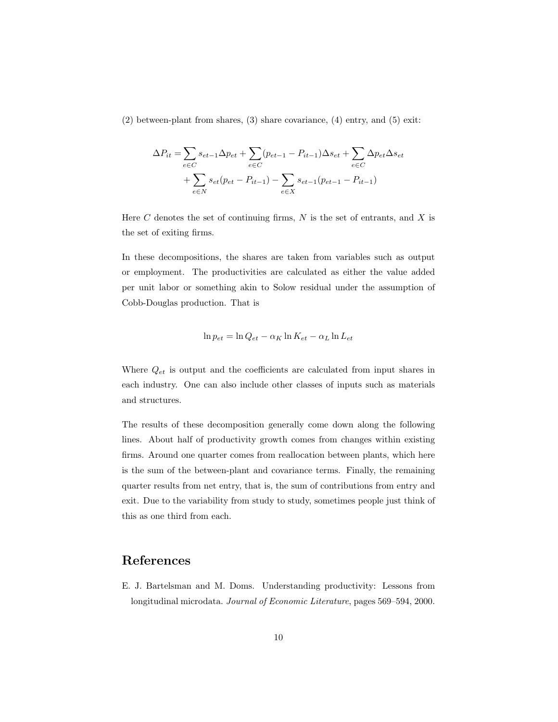(2) between-plant from shares, (3) share covariance, (4) entry, and (5) exit:

$$
\Delta P_{it} = \sum_{e \in C} s_{et-1} \Delta p_{et} + \sum_{e \in C} (p_{et-1} - P_{it-1}) \Delta s_{et} + \sum_{e \in C} \Delta p_{et} \Delta s_{et} + \sum_{e \in C} s_{et} (p_{et} - P_{it-1}) - \sum_{e \in X} s_{et-1} (p_{et-1} - P_{it-1})
$$

Here C denotes the set of continuing firms,  $N$  is the set of entrants, and  $X$  is the set of exiting firms.

In these decompositions, the shares are taken from variables such as output or employment. The productivities are calculated as either the value added per unit labor or something akin to Solow residual under the assumption of Cobb-Douglas production. That is

$$
\ln p_{et} = \ln Q_{et} - \alpha_K \ln K_{et} - \alpha_L \ln L_{et}
$$

Where  $Q_{et}$  is output and the coefficients are calculated from input shares in each industry. One can also include other classes of inputs such as materials and structures.

The results of these decomposition generally come down along the following lines. About half of productivity growth comes from changes within existing firms. Around one quarter comes from reallocation between plants, which here is the sum of the between-plant and covariance terms. Finally, the remaining quarter results from net entry, that is, the sum of contributions from entry and exit. Due to the variability from study to study, sometimes people just think of this as one third from each.

# References

E. J. Bartelsman and M. Doms. Understanding productivity: Lessons from longitudinal microdata. Journal of Economic Literature, pages 569–594, 2000.